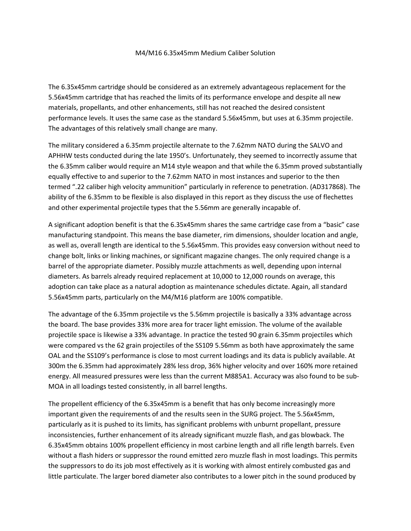## M4/M16 6.35x45mm Medium Caliber Solution

The 6.35x45mm cartridge should be considered as an extremely advantageous replacement for the 5.56x45mm cartridge that has reached the limits of its performance envelope and despite all new materials, propellants, and other enhancements, still has not reached the desired consistent performance levels. It uses the same case as the standard 5.56x45mm, but uses at 6.35mm projectile. The advantages of this relatively small change are many.

The military considered a 6.35mm projectile alternate to the 7.62mm NATO during the SALVO and APHHW tests conducted during the late 1950's. Unfortunately, they seemed to incorrectly assume that the 6.35mm caliber would require an M14 style weapon and that while the 6.35mm proved substantially equally effective to and superior to the 7.62mm NATO in most instances and superior to the then termed ".22 caliber high velocity ammunition" particularly in reference to penetration. (AD317868). The ability of the 6.35mm to be flexible is also displayed in this report as they discuss the use of flechettes and other experimental projectile types that the 5.56mm are generally incapable of.

A significant adoption benefit is that the 6.35x45mm shares the same cartridge case from a "basic" case manufacturing standpoint. This means the base diameter, rim dimensions, shoulder location and angle, as well as, overall length are identical to the 5.56x45mm. This provides easy conversion without need to change bolt, links or linking machines, or significant magazine changes. The only required change is a barrel of the appropriate diameter. Possibly muzzle attachments as well, depending upon internal diameters. As barrels already required replacement at 10,000 to 12,000 rounds on average, this adoption can take place as a natural adoption as maintenance schedules dictate. Again, all standard 5.56x45mm parts, particularly on the M4/M16 platform are 100% compatible.

The advantage of the 6.35mm projectile vs the 5.56mm projectile is basically a 33% advantage across the board. The base provides 33% more area for tracer light emission. The volume of the available projectile space is likewise a 33% advantage. In practice the tested 90 grain 6.35mm projectiles which were compared vs the 62 grain projectiles of the SS109 5.56mm as both have approximately the same OAL and the SS109's performance is close to most current loadings and its data is publicly available. At 300m the 6.35mm had approximately 28% less drop, 36% higher velocity and over 160% more retained energy. All measured pressures were less than the current M885A1. Accuracy was also found to be sub-MOA in all loadings tested consistently, in all barrel lengths.

The propellent efficiency of the 6.35x45mm is a benefit that has only become increasingly more important given the requirements of and the results seen in the SURG project. The 5.56x45mm, particularly as it is pushed to its limits, has significant problems with unburnt propellant, pressure inconsistencies, further enhancement of its already significant muzzle flash, and gas blowback. The 6.35x45mm obtains 100% propellent efficiency in most carbine length and all rifle length barrels. Even without a flash hiders or suppressor the round emitted zero muzzle flash in most loadings. This permits the suppressors to do its job most effectively as it is working with almost entirely combusted gas and little particulate. The larger bored diameter also contributes to a lower pitch in the sound produced by